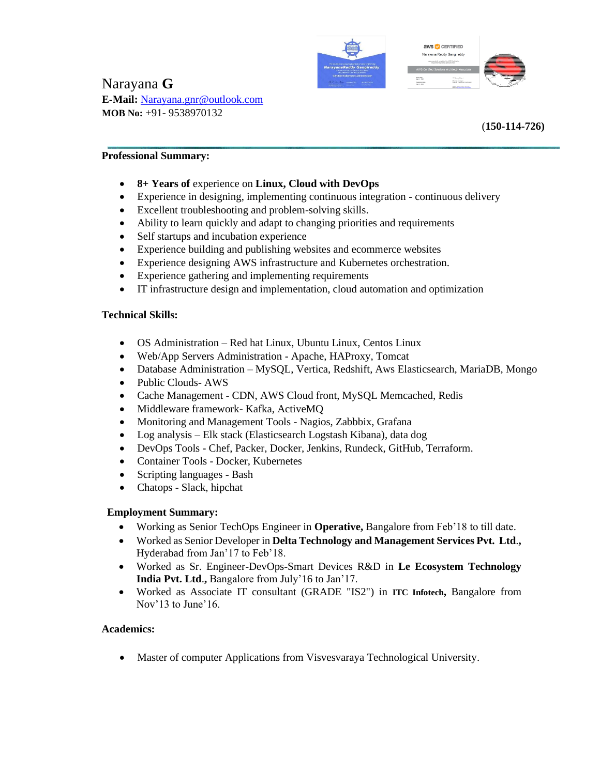



# Narayana **G E-Mail:** Narayana.gnr@outlook.com **MOB No:** +91- 9538970132

(**150-114-726)**

### **Professional Summary:**

- **8+ Years of** experience on **Linux, Cloud with DevOps**
- Experience in designing, implementing continuous integration continuous delivery
- Excellent troubleshooting and problem-solving skills.
- Ability to learn quickly and adapt to changing priorities and requirements
- Self startups and incubation experience
- Experience building and publishing websites and ecommerce websites
- Experience designing AWS infrastructure and Kubernetes orchestration.
- Experience gathering and implementing requirements
- IT infrastructure design and implementation, cloud automation and optimization

#### **Technical Skills:**

- OS Administration Red hat Linux, Ubuntu Linux, Centos Linux
- Web/App Servers Administration Apache, HAProxy, Tomcat
- Database Administration MySQL, Vertica, Redshift, Aws Elasticsearch, MariaDB, Mongo
- Public Clouds- AWS
- Cache Management CDN, AWS Cloud front, MySQL Memcached, Redis
- Middleware framework- Kafka, ActiveMQ
- Monitoring and Management Tools Nagios, Zabbbix, Grafana
- Log analysis Elk stack (Elasticsearch Logstash Kibana), data dog
- DevOps Tools Chef, Packer, Docker, Jenkins, Rundeck, GitHub, Terraform.
- Container Tools Docker, Kubernetes
- Scripting languages Bash
- Chatops Slack, hipchat

#### **Employment Summary:**

- Working as Senior TechOps Engineer in **Operative,** Bangalore from Feb'18 to till date.
- Worked as Senior Developer in **Delta Technology and Management Services Pvt. Ltd**.**,** Hyderabad from Jan'17 to Feb'18.
- Worked as Sr. Engineer-DevOps-Smart Devices R&D in **Le Ecosystem Technology India Pvt. Ltd**.**,** Bangalore from July'16 to Jan'17.
- Worked as Associate IT consultant (GRADE "IS2") in **ITC Infotech,** Bangalore from Nov'13 to June'16.

#### **Academics:**

• Master of computer Applications from Visvesvaraya Technological University.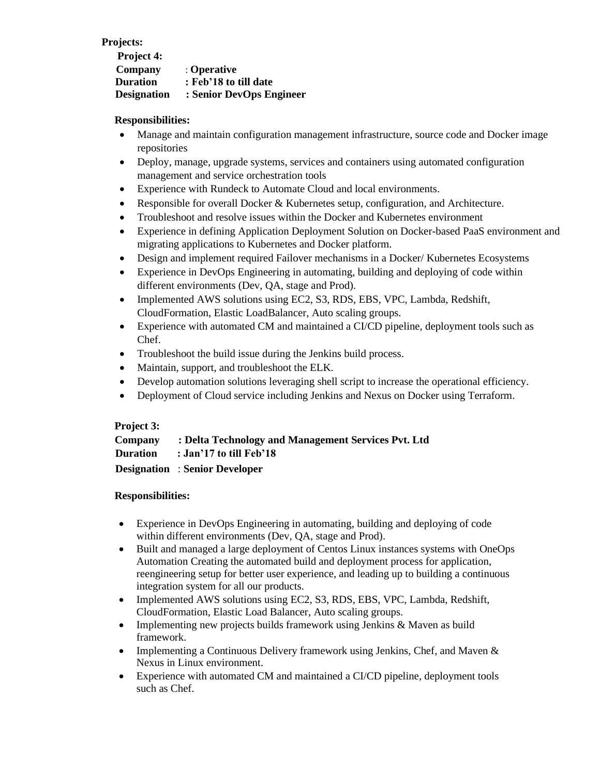### **Projects:**

| Project 4:         |                          |
|--------------------|--------------------------|
| Company            | : Operative              |
| <b>Duration</b>    | : Feb'18 to till date    |
| <b>Designation</b> | : Senior DevOps Engineer |

### **Responsibilities:**

- Manage and maintain configuration management infrastructure, source code and Docker image repositories
- Deploy, manage, upgrade systems, services and containers using automated configuration management and service orchestration tools
- Experience with Rundeck to Automate Cloud and local environments.
- Responsible for overall Docker & Kubernetes setup, configuration, and Architecture.
- Troubleshoot and resolve issues within the Docker and Kubernetes environment
- Experience in defining Application Deployment Solution on Docker-based PaaS environment and migrating applications to Kubernetes and Docker platform.
- Design and implement required Failover mechanisms in a Docker/ Kubernetes Ecosystems
- Experience in DevOps Engineering in automating, building and deploying of code within different environments (Dev, QA, stage and Prod).
- Implemented AWS solutions using EC2, S3, RDS, EBS, VPC, Lambda, Redshift, CloudFormation, Elastic LoadBalancer, Auto scaling groups.
- Experience with automated CM and maintained a CI/CD pipeline, deployment tools such as Chef.
- Troubleshoot the build issue during the Jenkins build process.
- Maintain, support, and troubleshoot the ELK.
- Develop automation solutions leveraging shell script to increase the operational efficiency.
- Deployment of Cloud service including Jenkins and Nexus on Docker using Terraform.

## **Project 3:**

| Company         | : Delta Technology and Management Services Pvt. Ltd |
|-----------------|-----------------------------------------------------|
| <b>Duration</b> | $\therefore$ Jan'17 to till Feb'18                  |
|                 | <b>Designation</b> : Senior Developer               |

## **Responsibilities:**

- Experience in DevOps Engineering in automating, building and deploying of code within different environments (Dev, QA, stage and Prod).
- Built and managed a large deployment of Centos Linux instances systems with OneOps Automation Creating the automated build and deployment process for application, reengineering setup for better user experience, and leading up to building a continuous integration system for all our products.
- Implemented AWS solutions using EC2, S3, RDS, EBS, VPC, Lambda, Redshift, CloudFormation, Elastic Load Balancer, Auto scaling groups.
- Implementing new projects builds framework using Jenkins & Maven as build framework.
- Implementing a Continuous Delivery framework using Jenkins, Chef, and Maven & Nexus in Linux environment.
- Experience with automated CM and maintained a CI/CD pipeline, deployment tools such as Chef.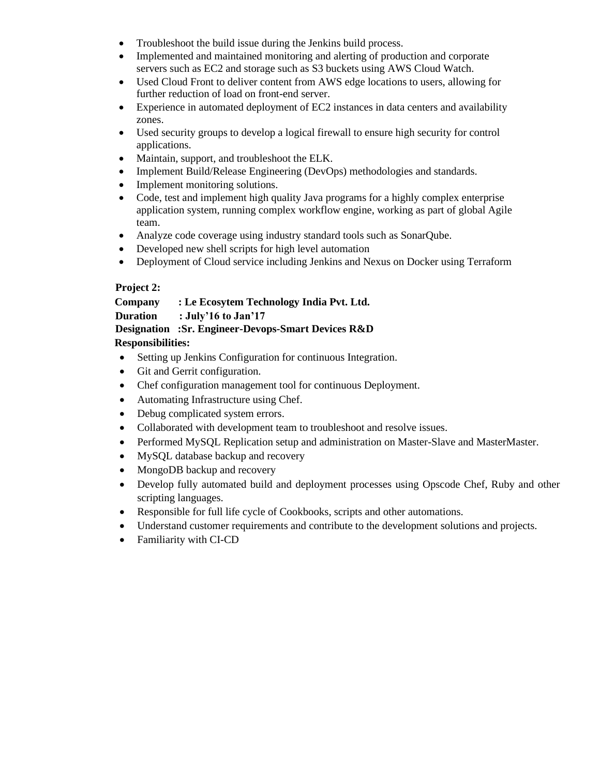- Troubleshoot the build issue during the Jenkins build process.
- Implemented and maintained monitoring and alerting of production and corporate servers such as EC2 and storage such as S3 buckets using AWS Cloud Watch.
- Used Cloud Front to deliver content from AWS edge locations to users, allowing for further reduction of load on front-end server.
- Experience in automated deployment of EC2 instances in data centers and availability zones.
- Used security groups to develop a logical firewall to ensure high security for control applications.
- Maintain, support, and troubleshoot the ELK.
- Implement Build/Release Engineering (DevOps) methodologies and standards.
- Implement monitoring solutions.
- Code, test and implement high quality Java programs for a highly complex enterprise application system, running complex workflow engine, working as part of global Agile team.
- Analyze code coverage using industry standard tools such as SonarQube.
- Developed new shell scripts for high level automation
- Deployment of Cloud service including Jenkins and Nexus on Docker using Terraform

# **Project 2:**

# **Company : Le Ecosytem Technology India Pvt. Ltd.**

**Duration : July'16 to Jan'17** 

## **Designation :Sr. Engineer-Devops-Smart Devices R&D**

# **Responsibilities:**

- Setting up Jenkins Configuration for continuous Integration.
- Git and Gerrit configuration.
- Chef configuration management tool for continuous Deployment.
- Automating Infrastructure using Chef.
- Debug complicated system errors.
- Collaborated with development team to troubleshoot and resolve issues.
- Performed MySQL Replication setup and administration on Master-Slave and MasterMaster.
- MySQL database backup and recovery
- MongoDB backup and recovery
- Develop fully automated build and deployment processes using Opscode Chef, Ruby and other scripting languages.
- Responsible for full life cycle of Cookbooks, scripts and other automations.
- Understand customer requirements and contribute to the development solutions and projects.
- Familiarity with CI-CD